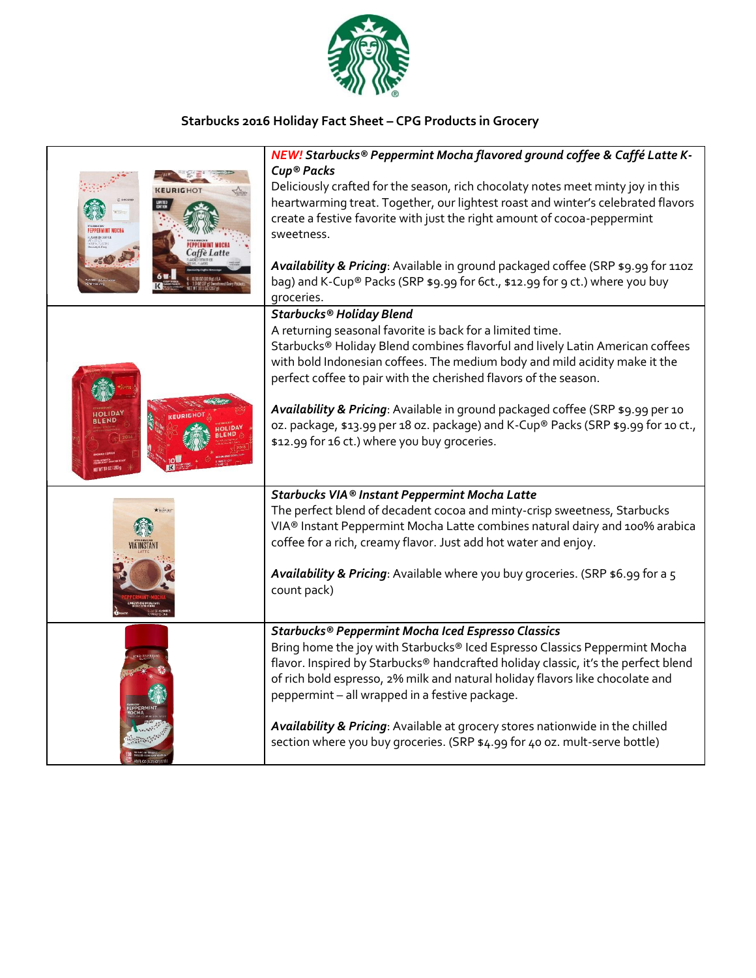

## **Starbucks 2016 Holiday Fact Sheet – CPG Products in Grocery**

| affè Latte | NEW! Starbucks® Peppermint Mocha flavored ground coffee & Caffé Latte K-<br>Cup® Packs<br>Deliciously crafted for the season, rich chocolaty notes meet minty joy in this<br>heartwarming treat. Together, our lightest roast and winter's celebrated flavors<br>create a festive favorite with just the right amount of cocoa-peppermint<br>sweetness.<br>Availability & Pricing: Available in ground packaged coffee (SRP \$9.99 for 1102<br>bag) and K-Cup® Packs (SRP \$9.99 for 6ct., \$12.99 for 9 ct.) where you buy<br>groceries.       |
|------------|-------------------------------------------------------------------------------------------------------------------------------------------------------------------------------------------------------------------------------------------------------------------------------------------------------------------------------------------------------------------------------------------------------------------------------------------------------------------------------------------------------------------------------------------------|
|            | Starbucks® Holiday Blend<br>A returning seasonal favorite is back for a limited time.<br>Starbucks® Holiday Blend combines flavorful and lively Latin American coffees<br>with bold Indonesian coffees. The medium body and mild acidity make it the<br>perfect coffee to pair with the cherished flavors of the season.<br>Availability & Pricing: Available in ground packaged coffee (SRP \$9.99 per 10<br>oz. package, \$13.99 per 18 oz. package) and K-Cup® Packs (SRP \$9.99 for 10 ct.,<br>\$12.99 for 16 ct.) where you buy groceries. |
| FEEWARDS   | Starbucks VIA® Instant Peppermint Mocha Latte<br>The perfect blend of decadent cocoa and minty-crisp sweetness, Starbucks<br>VIA® Instant Peppermint Mocha Latte combines natural dairy and 100% arabica<br>coffee for a rich, creamy flavor. Just add hot water and enjoy.<br>Availability & Pricing: Available where you buy groceries. (SRP \$6.99 for a 5<br>count pack)                                                                                                                                                                    |
|            | Starbucks® Peppermint Mocha Iced Espresso Classics<br>Bring home the joy with Starbucks® Iced Espresso Classics Peppermint Mocha<br>flavor. Inspired by Starbucks® handcrafted holiday classic, it's the perfect blend<br>of rich bold espresso, 2% milk and natural holiday flavors like chocolate and<br>peppermint - all wrapped in a festive package.<br>Availability & Pricing: Available at grocery stores nationwide in the chilled<br>section where you buy groceries. (SRP \$4.99 for 40 oz. mult-serve bottle)                        |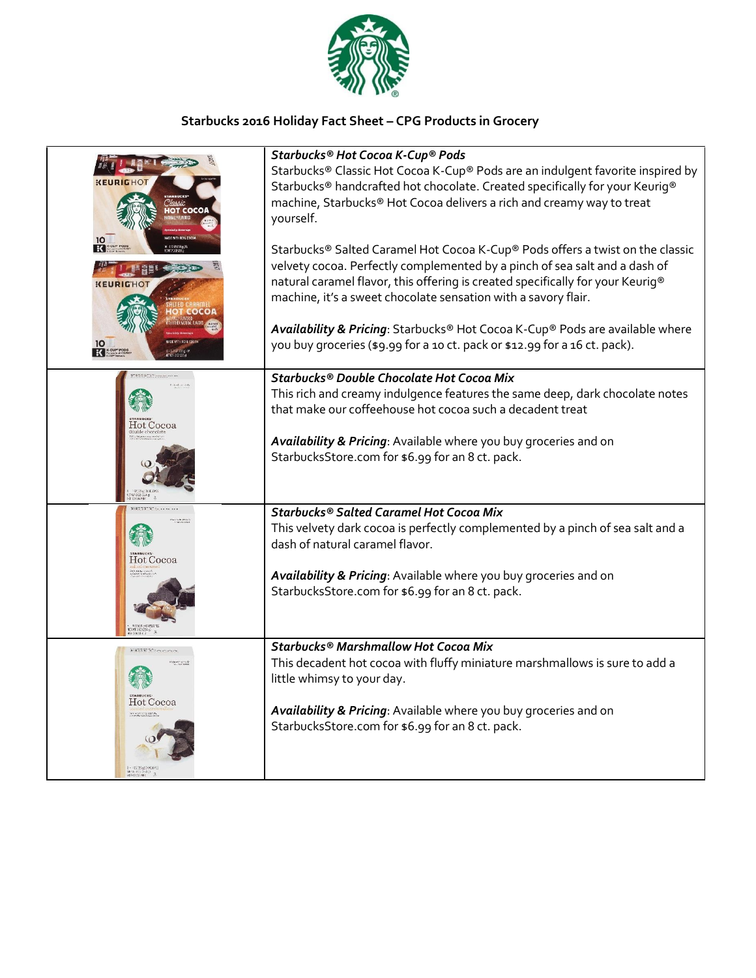

## **Starbucks 2016 Holiday Fact Sheet – CPG Products in Grocery**

| KEURIGH<br>$\frac{10}{10}$<br><b>KEURIGH</b> | Starbucks® Hot Cocoa K-Cup® Pods<br>Starbucks® Classic Hot Cocoa K-Cup® Pods are an indulgent favorite inspired by<br>Starbucks® handcrafted hot chocolate. Created specifically for your Keurig®<br>machine, Starbucks® Hot Cocoa delivers a rich and creamy way to treat<br>yourself.<br>Starbucks® Salted Caramel Hot Cocoa K-Cup® Pods offers a twist on the classic<br>velvety cocoa. Perfectly complemented by a pinch of sea salt and a dash of<br>natural caramel flavor, this offering is created specifically for your Keurig®<br>machine, it's a sweet chocolate sensation with a savory flair.<br>Availability & Pricing: Starbucks® Hot Cocoa K-Cup® Pods are available where |
|----------------------------------------------|--------------------------------------------------------------------------------------------------------------------------------------------------------------------------------------------------------------------------------------------------------------------------------------------------------------------------------------------------------------------------------------------------------------------------------------------------------------------------------------------------------------------------------------------------------------------------------------------------------------------------------------------------------------------------------------------|
|                                              | you buy groceries (\$9.99 for a 10 ct. pack or \$12.99 for a 16 ct. pack).                                                                                                                                                                                                                                                                                                                                                                                                                                                                                                                                                                                                                 |
|                                              | Starbucks® Double Chocolate Hot Cocoa Mix                                                                                                                                                                                                                                                                                                                                                                                                                                                                                                                                                                                                                                                  |
|                                              | This rich and creamy indulgence features the same deep, dark chocolate notes                                                                                                                                                                                                                                                                                                                                                                                                                                                                                                                                                                                                               |
|                                              | that make our coffeehouse hot cocoa such a decadent treat                                                                                                                                                                                                                                                                                                                                                                                                                                                                                                                                                                                                                                  |
| Hot Cocoa                                    |                                                                                                                                                                                                                                                                                                                                                                                                                                                                                                                                                                                                                                                                                            |
|                                              | Availability & Pricing: Available where you buy groceries and on                                                                                                                                                                                                                                                                                                                                                                                                                                                                                                                                                                                                                           |
|                                              | StarbucksStore.com for \$6.99 for an 8 ct. pack.                                                                                                                                                                                                                                                                                                                                                                                                                                                                                                                                                                                                                                           |
|                                              | Starbucks® Salted Caramel Hot Cocoa Mix                                                                                                                                                                                                                                                                                                                                                                                                                                                                                                                                                                                                                                                    |
|                                              | This velvety dark cocoa is perfectly complemented by a pinch of sea salt and a<br>dash of natural caramel flavor.                                                                                                                                                                                                                                                                                                                                                                                                                                                                                                                                                                          |
| Hot Cocoa                                    |                                                                                                                                                                                                                                                                                                                                                                                                                                                                                                                                                                                                                                                                                            |
|                                              | Availability & Pricing: Available where you buy groceries and on<br>StarbucksStore.com for \$6.99 for an 8 ct. pack.                                                                                                                                                                                                                                                                                                                                                                                                                                                                                                                                                                       |
|                                              |                                                                                                                                                                                                                                                                                                                                                                                                                                                                                                                                                                                                                                                                                            |
|                                              | Starbucks® Marshmallow Hot Cocoa Mix                                                                                                                                                                                                                                                                                                                                                                                                                                                                                                                                                                                                                                                       |
|                                              | This decadent hot cocoa with fluffy miniature marshmallows is sure to add a                                                                                                                                                                                                                                                                                                                                                                                                                                                                                                                                                                                                                |
|                                              | little whimsy to your day.                                                                                                                                                                                                                                                                                                                                                                                                                                                                                                                                                                                                                                                                 |
| Hot Cocoa                                    |                                                                                                                                                                                                                                                                                                                                                                                                                                                                                                                                                                                                                                                                                            |
|                                              | Availability & Pricing: Available where you buy groceries and on                                                                                                                                                                                                                                                                                                                                                                                                                                                                                                                                                                                                                           |
|                                              | StarbucksStore.com for \$6.99 for an 8 ct. pack.                                                                                                                                                                                                                                                                                                                                                                                                                                                                                                                                                                                                                                           |